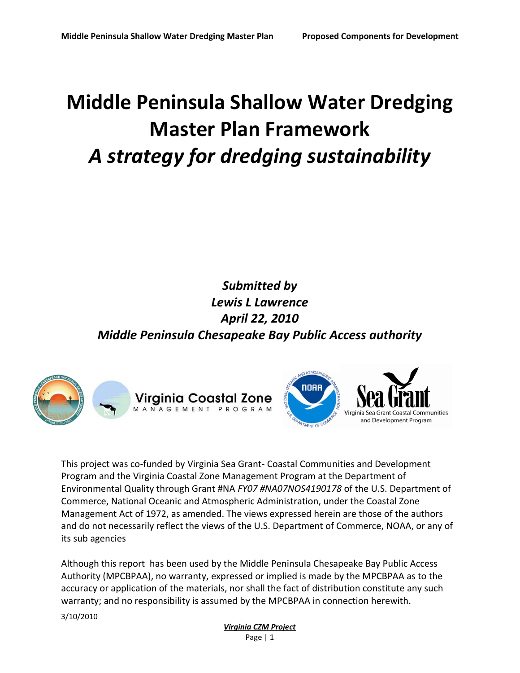# **Middle Peninsula Shallow Water Dredging Master Plan Framework** *A strategy for dredging sustainability*

## *Submitted by Lewis L Lawrence April 22, 2010 Middle Peninsula Chesapeake Bay Public Access authority*





This project was co-funded by Virginia Sea Grant- Coastal Communities and Development Program and the Virginia Coastal Zone Management Program at the Department of Environmental Quality through Grant #NA *FY07 #NA07NOS4190178* of the U.S. Department of Commerce, National Oceanic and Atmospheric Administration, under the Coastal Zone Management Act of 1972, as amended. The views expressed herein are those of the authors and do not necessarily reflect the views of the U.S. Department of Commerce, NOAA, or any of its sub agencies

Although this report has been used by the Middle Peninsula Chesapeake Bay Public Access Authority (MPCBPAA), no warranty, expressed or implied is made by the MPCBPAA as to the accuracy or application of the materials, nor shall the fact of distribution constitute any such warranty; and no responsibility is assumed by the MPCBPAA in connection herewith.

3/10/2010

#### *Virginia CZM Project* Page | 1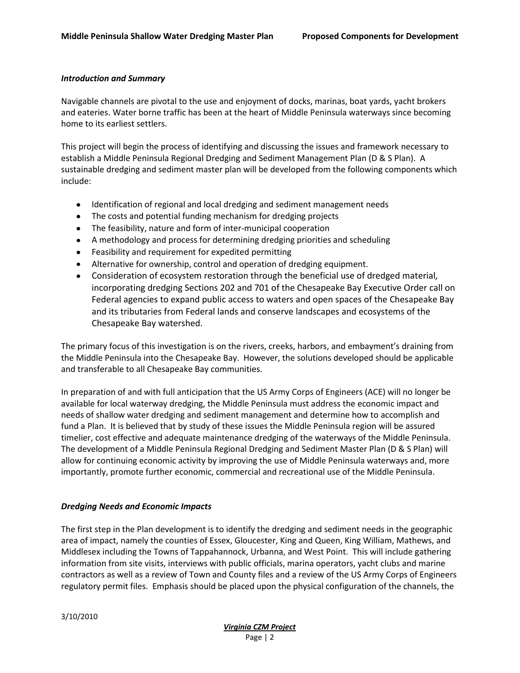#### *Introduction and Summary*

Navigable channels are pivotal to the use and enjoyment of docks, marinas, boat yards, yacht brokers and eateries. Water borne traffic has been at the heart of Middle Peninsula waterways since becoming home to its earliest settlers.

This project will begin the process of identifying and discussing the issues and framework necessary to establish a Middle Peninsula Regional Dredging and Sediment Management Plan (D & S Plan). A sustainable dredging and sediment master plan will be developed from the following components which include:

- Identification of regional and local dredging and sediment management needs
- The costs and potential funding mechanism for dredging projects
- The feasibility, nature and form of inter-municipal cooperation
- A methodology and process for determining dredging priorities and scheduling
- Feasibility and requirement for expedited permitting
- Alternative for ownership, control and operation of dredging equipment.
- Consideration of ecosystem restoration through the beneficial use of dredged material*,*  incorporating dredging Sections 202 and 701 of the Chesapeake Bay Executive Order call on Federal agencies to expand public access to waters and open spaces of the Chesapeake Bay and its tributaries from Federal lands and conserve landscapes and ecosystems of the Chesapeake Bay watershed.

The primary focus of this investigation is on the rivers, creeks, harbors, and embayment's draining from the Middle Peninsula into the Chesapeake Bay. However, the solutions developed should be applicable and transferable to all Chesapeake Bay communities.

In preparation of and with full anticipation that the US Army Corps of Engineers (ACE) will no longer be available for local waterway dredging, the Middle Peninsula must address the economic impact and needs of shallow water dredging and sediment management and determine how to accomplish and fund a Plan. It is believed that by study of these issues the Middle Peninsula region will be assured timelier, cost effective and adequate maintenance dredging of the waterways of the Middle Peninsula. The development of a Middle Peninsula Regional Dredging and Sediment Master Plan (D & S Plan) will allow for continuing economic activity by improving the use of Middle Peninsula waterways and, more importantly, promote further economic, commercial and recreational use of the Middle Peninsula.

#### *Dredging Needs and Economic Impacts*

The first step in the Plan development is to identify the dredging and sediment needs in the geographic area of impact, namely the counties of Essex, Gloucester, King and Queen, King William, Mathews, and Middlesex including the Towns of Tappahannock, Urbanna, and West Point. This will include gathering information from site visits, interviews with public officials, marina operators, yacht clubs and marine contractors as well as a review of Town and County files and a review of the US Army Corps of Engineers regulatory permit files. Emphasis should be placed upon the physical configuration of the channels, the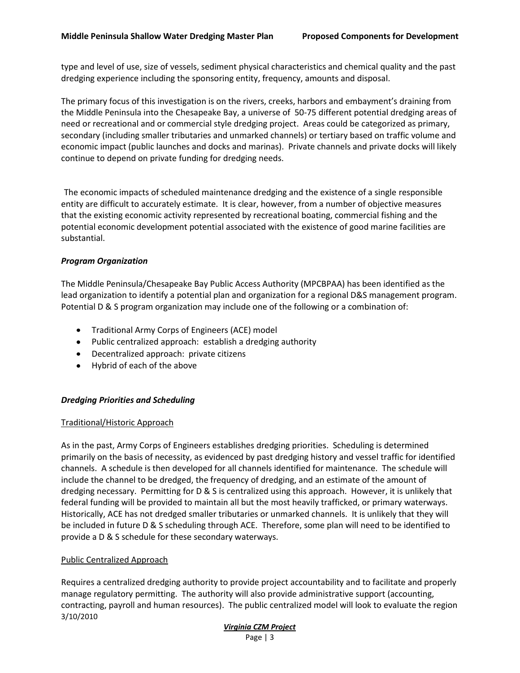type and level of use, size of vessels, sediment physical characteristics and chemical quality and the past dredging experience including the sponsoring entity, frequency, amounts and disposal.

The primary focus of this investigation is on the rivers, creeks, harbors and embayment's draining from the Middle Peninsula into the Chesapeake Bay, a universe of 50-75 different potential dredging areas of need or recreational and or commercial style dredging project. Areas could be categorized as primary, secondary (including smaller tributaries and unmarked channels) or tertiary based on traffic volume and economic impact (public launches and docks and marinas). Private channels and private docks will likely continue to depend on private funding for dredging needs.

The economic impacts of scheduled maintenance dredging and the existence of a single responsible entity are difficult to accurately estimate. It is clear, however, from a number of objective measures that the existing economic activity represented by recreational boating, commercial fishing and the potential economic development potential associated with the existence of good marine facilities are substantial.

#### *Program Organization*

The Middle Peninsula/Chesapeake Bay Public Access Authority (MPCBPAA) has been identified as the lead organization to identify a potential plan and organization for a regional D&S management program. Potential D & S program organization may include one of the following or a combination of:

- Traditional Army Corps of Engineers (ACE) model
- Public centralized approach: establish a dredging authority
- Decentralized approach: private citizens
- Hybrid of each of the above

#### *Dredging Priorities and Scheduling*

#### Traditional/Historic Approach

As in the past, Army Corps of Engineers establishes dredging priorities. Scheduling is determined primarily on the basis of necessity, as evidenced by past dredging history and vessel traffic for identified channels. A schedule is then developed for all channels identified for maintenance. The schedule will include the channel to be dredged, the frequency of dredging, and an estimate of the amount of dredging necessary. Permitting for D & S is centralized using this approach. However, it is unlikely that federal funding will be provided to maintain all but the most heavily trafficked, or primary waterways. Historically, ACE has not dredged smaller tributaries or unmarked channels. It is unlikely that they will be included in future D & S scheduling through ACE. Therefore, some plan will need to be identified to provide a D & S schedule for these secondary waterways.

#### Public Centralized Approach

3/10/2010 Requires a centralized dredging authority to provide project accountability and to facilitate and properly manage regulatory permitting. The authority will also provide administrative support (accounting, contracting, payroll and human resources). The public centralized model will look to evaluate the region

#### *Virginia CZM Project* Page | 3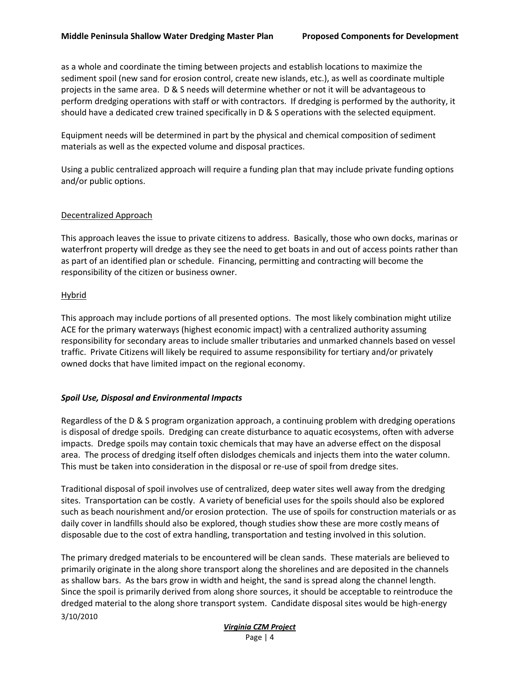as a whole and coordinate the timing between projects and establish locations to maximize the sediment spoil (new sand for erosion control, create new islands, etc.), as well as coordinate multiple projects in the same area. D & S needs will determine whether or not it will be advantageous to perform dredging operations with staff or with contractors. If dredging is performed by the authority, it should have a dedicated crew trained specifically in D & S operations with the selected equipment.

Equipment needs will be determined in part by the physical and chemical composition of sediment materials as well as the expected volume and disposal practices.

Using a public centralized approach will require a funding plan that may include private funding options and/or public options.

#### Decentralized Approach

This approach leaves the issue to private citizens to address. Basically, those who own docks, marinas or waterfront property will dredge as they see the need to get boats in and out of access points rather than as part of an identified plan or schedule. Financing, permitting and contracting will become the responsibility of the citizen or business owner.

#### Hybrid

This approach may include portions of all presented options. The most likely combination might utilize ACE for the primary waterways (highest economic impact) with a centralized authority assuming responsibility for secondary areas to include smaller tributaries and unmarked channels based on vessel traffic. Private Citizens will likely be required to assume responsibility for tertiary and/or privately owned docks that have limited impact on the regional economy.

#### *Spoil Use, Disposal and Environmental Impacts*

Regardless of the D & S program organization approach, a continuing problem with dredging operations is disposal of dredge spoils. Dredging can create disturbance to aquatic ecosystems, often with adverse impacts. Dredge spoils may contain toxic chemicals that may have an adverse effect on the disposal area. The process of dredging itself often dislodges chemicals and injects them into the water column. This must be taken into consideration in the disposal or re-use of spoil from dredge sites.

Traditional disposal of spoil involves use of centralized, deep water sites well away from the dredging sites. Transportation can be costly. A variety of beneficial uses for the spoils should also be explored such as beach nourishment and/or erosion protection. The use of spoils for construction materials or as daily cover in landfills should also be explored, though studies show these are more costly means of disposable due to the cost of extra handling, transportation and testing involved in this solution.

3/10/2010 The primary dredged materials to be encountered will be clean sands. These materials are believed to primarily originate in the along shore transport along the shorelines and are deposited in the channels as shallow bars. As the bars grow in width and height, the sand is spread along the channel length. Since the spoil is primarily derived from along shore sources, it should be acceptable to reintroduce the dredged material to the along shore transport system. Candidate disposal sites would be high-energy

#### *Virginia CZM Project* Page | 4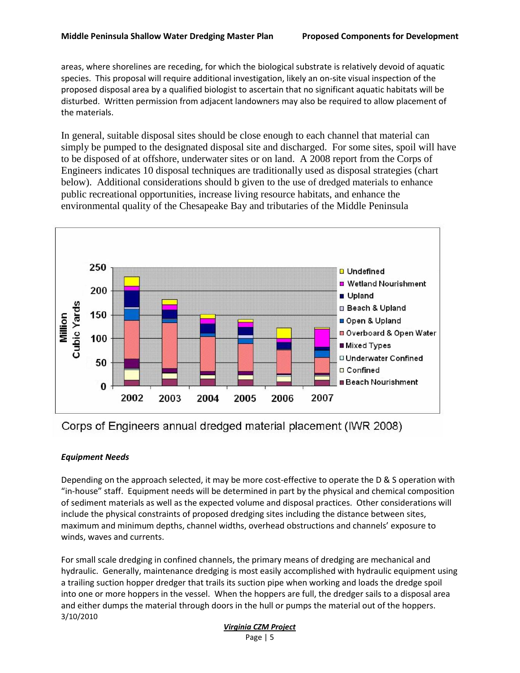areas, where shorelines are receding, for which the biological substrate is relatively devoid of aquatic species. This proposal will require additional investigation, likely an on-site visual inspection of the proposed disposal area by a qualified biologist to ascertain that no significant aquatic habitats will be disturbed. Written permission from adjacent landowners may also be required to allow placement of the materials.

In general, suitable disposal sites should be close enough to each channel that material can simply be pumped to the designated disposal site and discharged. For some sites, spoil will have to be disposed of at offshore, underwater sites or on land. A 2008 report from the Corps of Engineers indicates 10 disposal techniques are traditionally used as disposal strategies (chart below). Additional considerations should b given to the use of dredged materials to enhance public recreational opportunities, increase living resource habitats, and enhance the environmental quality of the Chesapeake Bay and tributaries of the Middle Peninsula



Corps of Engineers annual dredged material placement (IWR 2008)

#### *Equipment Needs*

Depending on the approach selected, it may be more cost-effective to operate the D & S operation with "in-house" staff. Equipment needs will be determined in part by the physical and chemical composition of sediment materials as well as the expected volume and disposal practices. Other considerations will include the physical constraints of proposed dredging sites including the distance between sites, maximum and minimum depths, channel widths, overhead obstructions and channels' exposure to winds, waves and currents.

3/10/2010 For small scale dredging in confined channels, the primary means of dredging are mechanical and hydraulic. Generally, maintenance dredging is most easily accomplished with hydraulic equipment using a trailing suction hopper dredger that trails its suction pipe when working and loads the dredge spoil into one or more hoppers in the vessel. When the hoppers are full, the dredger sails to a disposal area and either dumps the material through doors in the hull or pumps the material out of the hoppers.

### *Virginia CZM Project*

```
Page | 5
```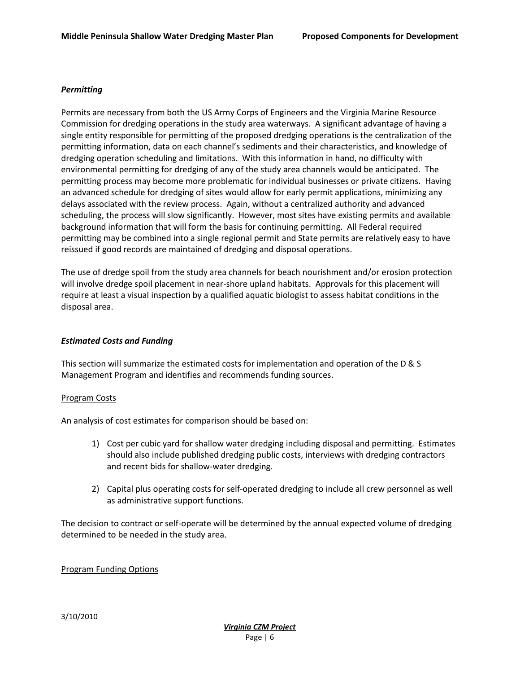#### *Permitting*

Permits are necessary from both the US Army Corps of Engineers and the Virginia Marine Resource Commission for dredging operations in the study area waterways. A significant advantage of having a single entity responsible for permitting of the proposed dredging operations is the centralization of the permitting information, data on each channel's sediments and their characteristics, and knowledge of dredging operation scheduling and limitations. With this information in hand, no difficulty with environmental permitting for dredging of any of the study area channels would be anticipated. The permitting process may become more problematic for individual businesses or private citizens. Having an advanced schedule for dredging of sites would allow for early permit applications, minimizing any delays associated with the review process. Again, without a centralized authority and advanced scheduling, the process will slow significantly. However, most sites have existing permits and available background information that will form the basis for continuing permitting. All Federal required permitting may be combined into a single regional permit and State permits are relatively easy to have reissued if good records are maintained of dredging and disposal operations.

The use of dredge spoil from the study area channels for beach nourishment and/or erosion protection will involve dredge spoil placement in near-shore upland habitats. Approvals for this placement will require at least a visual inspection by a qualified aquatic biologist to assess habitat conditions in the disposal area.

#### *Estimated Costs and Funding*

This section will summarize the estimated costs for implementation and operation of the D & S Management Program and identifies and recommends funding sources.

#### Program Costs

An analysis of cost estimates for comparison should be based on:

- 1) Cost per cubic yard for shallow water dredging including disposal and permitting. Estimates should also include published dredging public costs, interviews with dredging contractors and recent bids for shallow-water dredging.
- 2) Capital plus operating costs for self-operated dredging to include all crew personnel as well as administrative support functions.

The decision to contract or self-operate will be determined by the annual expected volume of dredging determined to be needed in the study area.

#### Program Funding Options